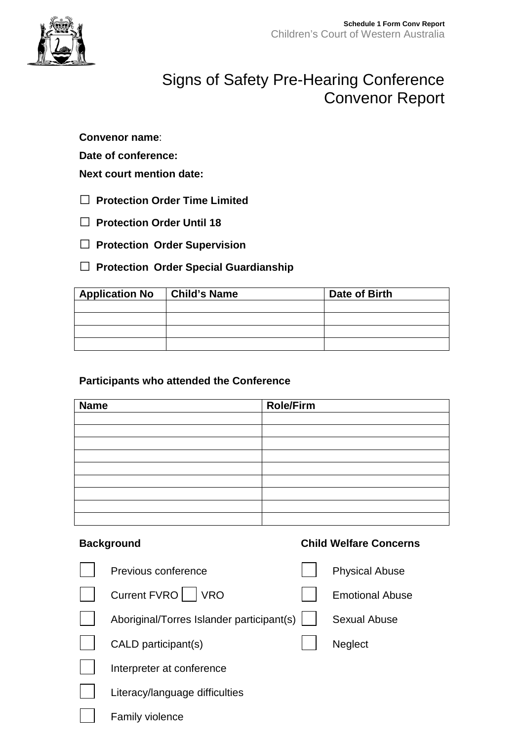

## Signs of Safety Pre-Hearing Conference Convenor Report

**Convenor name**:

**Date of conference:**

**Next court mention date:** 

- **□ Protection Order Time Limited**
- **□ Protection Order Until 18**
- **□ Protection Order Supervision**
- **□ Protection Order Special Guardianship**

| <b>Application No</b> | Child's Name | Date of Birth |  |
|-----------------------|--------------|---------------|--|
|                       |              |               |  |
|                       |              |               |  |
|                       |              |               |  |
|                       |              |               |  |

## **Participants who attended the Conference**

| <b>Name</b> | <b>Role/Firm</b> |
|-------------|------------------|
|             |                  |
|             |                  |
|             |                  |
|             |                  |
|             |                  |
|             |                  |
|             |                  |
|             |                  |
|             |                  |

## **Background Child Welfare Concerns**

| Previous conference                       | <b>Physical Abuse</b>  |
|-------------------------------------------|------------------------|
| <b>Current FVRO</b><br><b>VRO</b>         | <b>Emotional Abuse</b> |
| Aboriginal/Torres Islander participant(s) | Sexual Abuse           |
| CALD participant(s)                       | <b>Neglect</b>         |
| Interpreter at conference                 |                        |
| Literacy/language difficulties            |                        |
| <b>Family violence</b>                    |                        |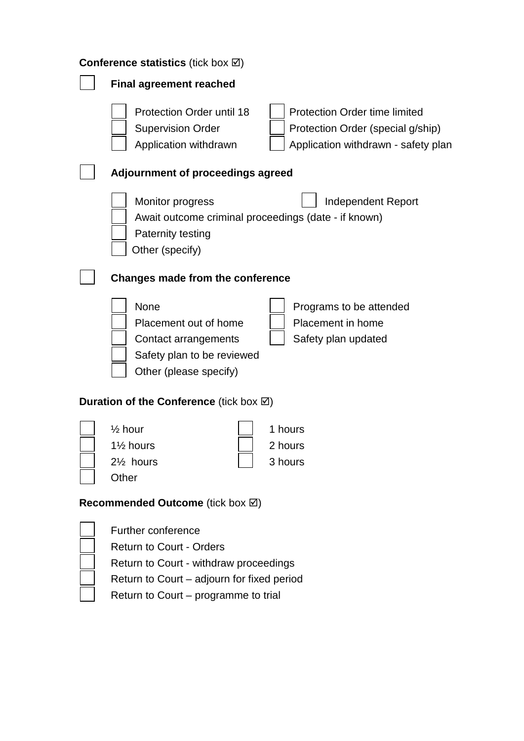| <b>Conference statistics (tick box <math>\boxtimes</math>)</b>                                                |                                                                                                           |  |  |
|---------------------------------------------------------------------------------------------------------------|-----------------------------------------------------------------------------------------------------------|--|--|
| <b>Final agreement reached</b>                                                                                |                                                                                                           |  |  |
| <b>Protection Order until 18</b><br><b>Supervision Order</b><br>Application withdrawn                         | Protection Order time limited<br>Protection Order (special g/ship)<br>Application withdrawn - safety plan |  |  |
| Adjournment of proceedings agreed                                                                             |                                                                                                           |  |  |
| Monitor progress<br><b>Paternity testing</b><br>Other (specify)                                               | <b>Independent Report</b><br>Await outcome criminal proceedings (date - if known)                         |  |  |
| Changes made from the conference                                                                              |                                                                                                           |  |  |
| None<br>Placement out of home<br>Contact arrangements<br>Safety plan to be reviewed<br>Other (please specify) | Programs to be attended<br>Placement in home<br>Safety plan updated                                       |  |  |
| <b>Duration of the Conference</b> (tick box $\boxtimes$ )                                                     |                                                                                                           |  |  |
| $\frac{1}{2}$ hour<br>11/ <sub>2</sub> hours<br>$2\frac{1}{2}$ hours<br>Other                                 | 1 hours<br>2 hours<br>3 hours                                                                             |  |  |
| <b>Recommended Outcome</b> (tick box ⊠)                                                                       |                                                                                                           |  |  |
| Further conference                                                                                            |                                                                                                           |  |  |

| <b>Further conterence</b>              |
|----------------------------------------|
| <b>Return to Court - Orders</b>        |
| Return to Court - withdraw proceedings |

- Return to Court adjourn for fixed period
- Return to Court programme to trial